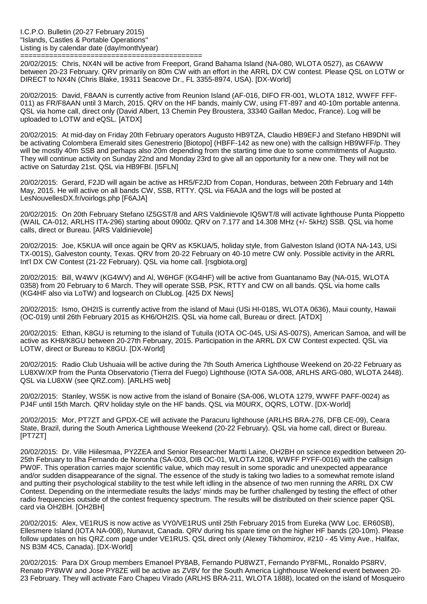============================================ 20/02/2015: Chris, NX4N will be active from Freeport, Grand Bahama Island (NA-080, WLOTA 0527), as C6AWW between 20-23 February. QRV primarily on 80m CW with an effort in the ARRL DX CW contest. Please QSL on LOTW or DIRECT to NX4N (Chris Blake, 19311 Seacove Dr., FL 3355-8974, USA). [DX-World]

20/02/2015: David, F8AAN is currently active from Reunion Island (AF-016, DIFO FR-001, WLOTA 1812, WWFF FFF-011) as FR/F8AAN until 3 March, 2015. QRV on the HF bands, mainly CW, using FT-897 and 40-10m portable antenna. QSL via home call, direct only (David Albert, 13 Chemin Pey Broustera, 33340 Gaillan Medoc, France). Log will be uploaded to LOTW and eQSL. [ATDX]

20/02/2015: At mid-day on Friday 20th February operators Augusto HB9TZA, Claudio HB9EFJ and Stefano HB9DNI will be activating Colombera Emerald sites Genestrerio [Biotopo] (HBFF-142 as new one) with the callsign HB9WFF/p. They will be mostly 40m SSB and perhaps also 20m depending from the starting time due to some commitments of Augusto. They will continue activity on Sunday 22nd and Monday 23rd to give all an opportunity for a new one. They will not be active on Saturday 21st. QSL via HB9FBI. [I5FLN]

20/02/2015: Gerard, F2JD will again be active as HR5/F2JD from Copan, Honduras, between 20th February and 14th May, 2015. He will active on all bands CW, SSB, RTTY. QSL via F6AJA and the logs will be posted at LesNouvellesDX.fr/voirlogs.php [F6AJA]

20/02/2015: On 20th February Stefano IZ5GST/8 and ARS Valdinievole IQ5WT/8 will activate lighthouse Punta Pioppetto (WAIL CA-012, ARLHS ITA-296) starting about 0900z. QRV on 7.177 and 14.308 MHz (+/- 5kHz) SSB. QSL via home calls, direct or Bureau. [ARS Valdinievole]

20/02/2015: Joe, K5KUA will once again be QRV as K5KUA/5, holiday style, from Galveston Island (IOTA NA-143, USi TX-001S), Galveston county, Texas. QRV from 20-22 February on 40-10 metre CW only. Possible activity in the ARRL Int'l DX CW Contest (21-22 February). QSL via home call. [rsgbiota.org]

20/02/2015: Bill, W4WV (KG4WV) and Al, W6HGF (KG4HF) will be active from Guantanamo Bay (NA-015, WLOTA 0358) from 20 February to 6 March. They will operate SSB, PSK, RTTY and CW on all bands. QSL via home calls (KG4HF also via LoTW) and logsearch on ClubLog. [425 DX News]

20/02/2015: Ismo, OH2IS is currently active from the island of Maui (USi HI-018S, WLOTA 0636), Maui county, Hawaii (OC-019) until 26th February 2015 as KH6/OH2IS. QSL via home call, Bureau or direct. [ATDX]

20/02/2015: Ethan, K8GU is returning to the island of Tutuila (IOTA OC-045, USi AS-007S), American Samoa, and will be active as KH8/K8GU between 20-27th February, 2015. Participation in the ARRL DX CW Contest expected. QSL via LOTW, direct or Bureau to K8GU. [DX-World]

20/02/2015: Radio Club Ushuaia will be active during the 7th South America Lighthouse Weekend on 20-22 February as LU8XW/XP from the Punta Observatorio (Tierra del Fuego) Lighthouse (IOTA SA-008, ARLHS ARG-080, WLOTA 2448). QSL via LU8XW (see QRZ.com). [ARLHS web]

20/02/2015: Stanley, WS5K is now active from the island of Bonaire (SA-006, WLOTA 1279, WWFF PAFF-0024) as PJ4F until 15th March. QRV holiday style on the HF bands. QSL via M0URX, OQRS, LOTW. [DX-World]

20/02/2015: Mor, PT7ZT and GPDX-CE will activate the Paracuru lighthouse (ARLHS BRA-276, DFB CE-09), Ceara State, Brazil, during the South America Lighthouse Weekend (20-22 February). QSL via home call, direct or Bureau. [PT7ZT]

20/02/2015: Dr. Ville Hiilesmaa, PY2ZEA and Senior Researcher Martti Laine, OH2BH on science expedition between 20- 25th February to Ilha Fernando de Noronha (SA-003, DIB OC-01, WLOTA 1208, WWFF PYFF-0016) with the callsign PW0F. This operation carries major scientific value, which may result in some sporadic and unexpected appearance and/or sudden disappearance of the signal. The essence of the study is taking two ladies to a somewhat remote island and putting their psychological stability to the test while left idling in the absence of two men running the ARRL DX CW Contest. Depending on the intermediate results the ladys' minds may be further challenged by testing the effect of other radio frequencies outside of the contest frequency spectrum. The results will be distributed on their science paper QSL card via OH2BH. [OH2BH]

20/02/2015: Alex, VE1RUS is now active as VY0/VE1RUS until 25th February 2015 from Eureka (WW Loc. ER60SB), Ellesmere Island (IOTA NA-008), Nunavut, Canada. QRV during his spare time on the higher HF bands (20-10m). Please follow updates on his QRZ.com page under VE1RUS. QSL direct only (Alexey Tikhomirov, #210 - 45 Vimy Ave., Halifax, NS B3M 4C5, Canada). [DX-World]

20/02/2015: Para DX Group members Emanoel PY8AB, Fernando PU8WZT, Fernando PY8FML, Ronaldo PS8RV, Renato PY8WW and Jose PY8ZE will be active as ZV8V for the South America Lighthouse Weekend event between 20- 23 February. They will activate Faro Chapeu Virado (ARLHS BRA-211, WLOTA 1888), located on the island of Mosqueiro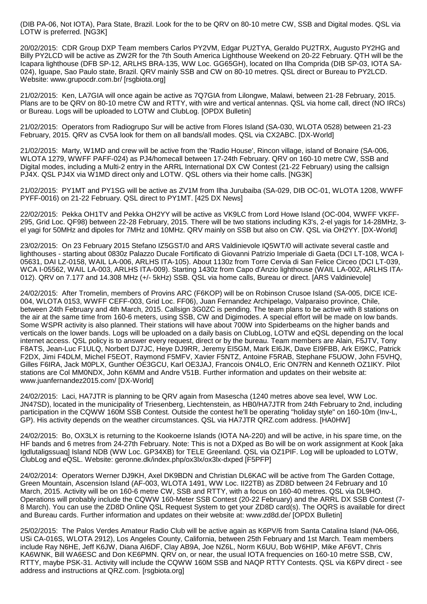(DIB PA-06, Not IOTA), Para State, Brazil. Look for the to be QRV on 80-10 metre CW, SSB and Digital modes. QSL via LOTW is preferred. [NG3K]

20/02/2015: CDR Group DXP Team members Carlos PY2VM, Edgar PU2TYA, Geraldo PU2TRX, Augusto PY2HG and Billy PY2LCD will be active as ZW2R for the 7th South America Lighthouse Weekend on 20-22 February. QTH will be the Icapara lighthouse (DFB SP-12, ARLHS BRA-135, WW Loc. GG65GH), located on Ilha Comprida (DIB SP-03, IOTA SA-024), Iguape, Sao Paulo state, Brazil. QRV mainly SSB and CW on 80-10 metres. QSL direct or Bureau to PY2LCD. Website: www.grupocdr.com.br/ [rsgbiota.org]

21/02/2015: Ken, LA7GIA will once again be active as 7Q7GIA from Lilongwe, Malawi, between 21-28 February, 2015. Plans are to be QRV on 80-10 metre CW and RTTY, with wire and vertical antennas. QSL via home call, direct (NO IRCs) or Bureau. Logs will be uploaded to LOTW and ClubLog. [OPDX Bulletin]

21/02/2015: Operators from Radiogrupo Sur will be active from Flores Island (SA-030, WLOTA 0528) between 21-23 February, 2015. QRV as CV5A look for them on all bands/all modes. QSL via CX2ABC. [DX-World]

21/02/2015: Marty, W1MD and crew will be active from the 'Radio House', Rincon village, island of Bonaire (SA-006, WLOTA 1279, WWFF PAFF-024) as PJ4/homecall between 17-24th February. QRV on 160-10 metre CW, SSB and Digital modes, including a Multi-2 entry in the ARRL International DX CW Contest (21-22 February) using the callsign PJ4X. QSL PJ4X via W1MD direct only and LOTW. QSL others via their home calls. [NG3K]

21/02/2015: PY1MT and PY1SG will be active as ZV1M from Ilha Jurubaiba (SA-029, DIB OC-01, WLOTA 1208, WWFF PYFF-0016) on 21-22 February. QSL direct to PY1MT. [425 DX News]

22/02/2015: Pekka OH1TV and Pekka OH2YY will be active as VK9LC from Lord Howe Island (OC-004, WWFF VKFF-295, Grid Loc. QF98) between 22-28 February, 2015. There will be two stations including K3's, 2-el yagis for 14-28MHz, 3 el yagi for 50MHz and dipoles for 7MHz and 10MHz. QRV mainly on SSB but also on CW. QSL via OH2YY. [DX-World]

23/02/2015: On 23 February 2015 Stefano IZ5GST/0 and ARS Valdinievole IQ5WT/0 will activate several castle and lighthouses - starting about 0830z Palazzo Ducale Fortificato di Giovanni Patrizio Imperiale di Gaeta (DCI LT-108, WCA I-05631, DAI LZ-0158, WAIL LA-006, ARLHS ITA-105). About 1130z from Torre Cervia di San Felice Circeo (DCI LT-039, WCA I-05562, WAIL LA-003, ARLHS ITA-009). Starting 1430z from Capo d'Anzio lighthouse (WAIL LA-002, ARLHS ITA-012). QRV on 7.177 and 14.308 MHz (+/- 5kHz) SSB. QSL via home calls, Bureau or direct. [ARS Valdinievole]

24/02/2015: After Tromelin, members of Provins ARC (F6KOP) will be on Robinson Crusoe Island (SA-005, DICE ICE-004, WLOTA 0153, WWFF CEFF-003, Grid Loc. FF06), Juan Fernandez Archipelago, Valparaiso province, Chile, between 24th February and 4th March, 2015. Callsign 3G0ZC is pending. The team plans to be active with 8 stations on the air at the same time from 160-6 meters, using SSB, CW and Digimodes. A special effort will be made on low bands. Some WSPR activity is also planned. Their stations will have about 700W into Spiderbeams on the higher bands and verticals on the lower bands. Logs will be uploaded on a daily basis on ClubLog, LOTW and eQSL depending on the local internet access. QSL policy is to answer every request, direct or by the bureau. Team members are Alain, F5JTV, Tony F8ATS, Jean-Luc F1ULQ, Norbert DJ7JC, Heye DJ9RR, Jeremy EI5GM, Mark EI6JK, Dave EI9FBB, Ark EI9KC, Patrick F2DX, Jimi F4DLM, Michel F5EOT, Raymond F5MFV, Xavier F5NTZ, Antoine F5RAB, Stephane F5UOW, John F5VHQ, Gilles F6IRA, Jack M0PLX, Gunther OE3GCU, Karl OE3JAJ, Francois ON4LO, Eric ON7RN and Kenneth OZ1IKY. Pilot stations are Col MM0NDX, John K6MM and Andre V51B. Further information and updates on their website at: www.juanfernandez2015.com/ [DX-World]

24/02/2015: Laci, HA7JTR is planning to be QRV again from Masescha (1240 metres above sea level, WW Loc. JN47SD), located in the municipality of Triesenberg, Liechtenstein, as HB0/HA7JTR from 24th February to 2nd, including participation in the CQWW 160M SSB Contest. Outside the contest he'll be operating "holiday style" on 160-10m (Inv-L, GP). His activity depends on the weather circumstances. QSL via HA7JTR QRZ.com address. [HA0HW]

24/02/2015: Bo, OX3LX is returning to the Kookoerne Islands (IOTA NA-220) and will be active, in his spare time, on the HF bands and 6 metres from 24-27th February. Note: This is not a DXped as Bo will be on work assignment at Kook [aka Igdlutaligssuaq] Island NDB (WW Loc. GP34XB) for TELE Greenland. QSL via OZ1PIF. Log will be uploaded to LOTW, ClubLog and eQSL. Website: geronne.dk/index.php/ox3lx/ox3lx-dxped [F5PFP]

24/02/2014: Operators Werner DJ9KH, Axel DK9BDN and Christian DL6KAC will be active from The Garden Cottage, Green Mountain, Ascension Island (AF-003, WLOTA 1491, WW Loc. II22TB) as ZD8D between 24 February and 10 March, 2015. Activity will be on 160-6 metre CW, SSB and RTTY, with a focus on 160-40 metres. QSL via DL9HO. Operations will probably include the CQWW 160-Meter SSB Contest (20-22 February) and the ARRL DX SSB Contest (7- 8 March). You can use the ZD8D Online QSL Request System to get your ZD8D card(s). The OQRS is available for direct and Bureau cards. Further information and updates on their website at: www.zd8d.de/ [OPDX Bulletin]

25/02/2015: The Palos Verdes Amateur Radio Club will be active again as K6PV/6 from Santa Catalina Island (NA-066, USi CA-016S, WLOTA 2912), Los Angeles County, California, between 25th February and 1st March. Team members include Ray N6HE, Jeff K6JW, Diana AI6DF, Clay AB9A, Joe NZ6L, Norm K6UU, Bob W6HIP, Mike AF6VT, Chris KA6WNK, Bill WA6ESC and Don KE6PMN. QRV on, or near, the usual IOTA frequencies on 160-10 metre SSB, CW, RTTY, maybe PSK-31. Activity will include the CQWW 160M SSB and NAQP RTTY Contests. QSL via K6PV direct - see address and instructions at QRZ.com. [rsgbiota.org]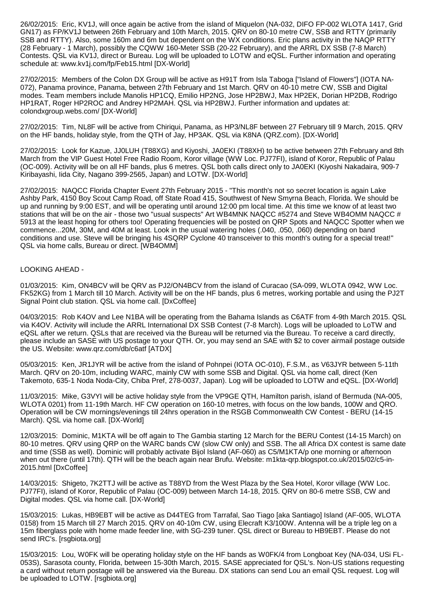26/02/2015: Eric, KV1J, will once again be active from the island of Miquelon (NA-032, DIFO FP-002 WLOTA 1417, Grid GN17) as FP/KV1J between 26th February and 10th March, 2015. QRV on 80-10 metre CW, SSB and RTTY (primarily SSB and RTTY). Also, some 160m and 6m but dependent on the WX conditions. Eric plans activity in the NAQP RTTY (28 February - 1 March), possibly the CQWW 160-Meter SSB (20-22 February), and the ARRL DX SSB (7-8 March) Contests. QSL via KV1J, direct or Bureau. Log will be uploaded to LOTW and eQSL. Further information and operating schedule at: www.kv1j.com/fp/Feb15.html [DX-World]

27/02/2015: Members of the Colon DX Group will be active as H91T from Isla Taboga ["Island of Flowers"] (IOTA NA-072), Panama province, Panama, between 27th February and 1st March. QRV on 40-10 metre CW, SSB and Digital modes. Team members include Manolis HP1CQ, Emilio HP2NG, Jose HP2BWJ, Max HP2EK, Dorian HP2DB, Rodrigo HP1RAT, Roger HP2ROC and Andrey HP2MAH. QSL via HP2BWJ. Further information and updates at: colondxgroup.webs.com/ [DX-World]

27/02/2015: Tim, NL8F will be active from Chiriqui, Panama, as HP3/NL8F between 27 February till 9 March, 2015. QRV on the HF bands, holiday style, from the QTH of Jay, HP3AK. QSL via K8NA (QRZ.com). [DX-World]

27/02/2015: Look for Kazue, JJ0LUH (T88XG) and Kiyoshi, JA0EKI (T88XH) to be active between 27th February and 8th March from the VIP Guest Hotel Free Radio Room, Koror village (WW Loc. PJ77FI), island of Koror, Republic of Palau (OC-009). Activity will be on all HF bands, plus 6 metres. QSL both calls direct only to JA0EKI (Kiyoshi Nakadaira, 909-7 Kiribayashi, Iida City, Nagano 399-2565, Japan) and LOTW. [DX-World]

27/02/2015: NAQCC Florida Chapter Event 27th February 2015 - "This month's not so secret location is again Lake Ashby Park, 4150 Boy Scout Camp Road, off State Road 415, Southwest of New Smyrna Beach, Florida. We should be up and running by 9:00 EST, and will be operating until around 12:00 pm local time. At this time we know of at least two stations that will be on the air - those two "usual suspects" Art WB4MNK NAQCC #5274 and Steve WB4OMM NAQCC # 5913 at the least hoping for others too! Operating frequencies will be posted on QRP Spots and NAQCC Spotter when we commence...20M, 30M, and 40M at least. Look in the usual watering holes (.040, .050, .060) depending on band conditions and use. Steve will be bringing his 4SQRP Cyclone 40 transceiver to this month's outing for a special treat!" QSL via home calls, Bureau or direct. [WB4OMM]

## LOOKING AHEAD -

01/03/2015: Kim, ON4BCV will be QRV as PJ2/ON4BCV from the island of Curacao (SA-099, WLOTA 0942, WW Loc. FK52KG) from 1 March till 10 March. Activity will be on the HF bands, plus 6 metres, working portable and using the PJ2T Signal Point club station. QSL via home call. [DxCoffee]

04/03/2015: Rob K4OV and Lee N1BA will be operating from the Bahama Islands as C6ATF from 4-9th March 2015. QSL via K4OV. Activity will include the ARRL International DX SSB Contest (7-8 March). Logs will be uploaded to LoTW and eQSL after we return. QSLs that are received via the Bureau will be returned via the Bureau. To receive a card directly, please include an SASE with US postage to your QTH. Or, you may send an SAE with \$2 to cover airmail postage outside the US. Website: www.qrz.com/db/c6atf [ATDX]

05/03/2015: Ken, JR1JYR will be active from the island of Pohnpei (IOTA OC-010), F.S.M., as V63JYR between 5-11th March. QRV on 20-10m, including WARC, mainly CW with some SSB and Digital. QSL via home call, direct (Ken Takemoto, 635-1 Noda Noda-City, Chiba Pref, 278-0037, Japan). Log will be uploaded to LOTW and eQSL. [DX-World]

11/03/2015: Mike, G3VYI will be active holiday style from the VP9GE QTH, Hamilton parish, island of Bermuda (NA-005, WLOTA 0201) from 11-19th March. HF CW operation on 160-10 metres, with focus on the low bands, 100W and QRO. Operation will be CW mornings/evenings till 24hrs operation in the RSGB Commonwealth CW Contest - BERU (14-15 March). QSL via home call. [DX-World]

12/03/2015: Dominic, M1KTA will be off again to The Gambia starting 12 March for the BERU Contest (14-15 March) on 80-10 metres. QRV using QRP on the WARC bands CW (slow CW only) and SSB. The all Africa DX contest is same date and time (SSB as well). Dominic will probably activate Bijol Island (AF-060) as C5/M1KTA/p one morning or afternoon when out there (until 17th). QTH will be the beach again near Brufu. Website: m1kta-qrp.blogspot.co.uk/2015/02/c5-in-2015.html [DxCoffee]

14/03/2015: Shigeto, 7K2TTJ will be active as T88YD from the West Plaza by the Sea Hotel, Koror village (WW Loc. PJ77FI), island of Koror, Republic of Palau (OC-009) between March 14-18, 2015. QRV on 80-6 metre SSB, CW and Digital modes. QSL via home call. [DX-World]

15/03/2015: Lukas, HB9EBT will be active as D44TEG from Tarrafal, Sao Tiago [aka Santiago] Island (AF-005, WLOTA 0158) from 15 March till 27 March 2015. QRV on 40-10m CW, using Elecraft K3/100W. Antenna will be a triple leg on a 15m fiberglass pole with home made feeder line, with SG-239 tuner. QSL direct or Bureau to HB9EBT. Please do not send IRC's. [rsgbiota.org]

15/03/2015: Lou, W0FK will be operating holiday style on the HF bands as W0FK/4 from Longboat Key (NA-034, USi FL-053S), Sarasota county, Florida, between 15-30th March, 2015. SASE appreciated for QSL's. Non-US stations requesting a card without return postage will be answered via the Bureau. DX stations can send Lou an email QSL request. Log will be uploaded to LOTW. [rsgbiota.org]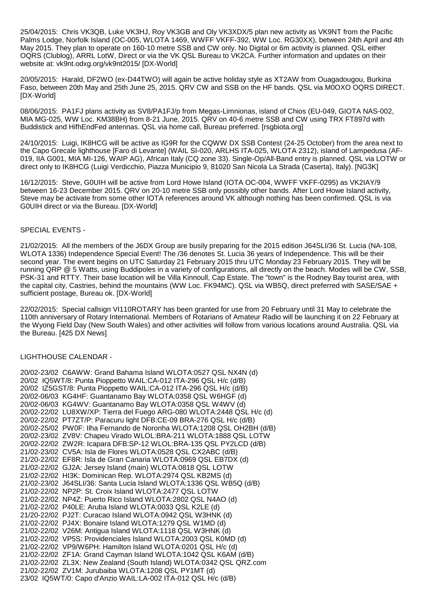25/04/2015: Chris VK3QB, Luke VK3HJ, Roy VK3GB and Oly VK3XDX/5 plan new activity as VK9NT from the Pacific Palms Lodge, Norfolk Island (OC-005, WLOTA 1469, WWFF VKFF-392, WW Loc. RG30XX), between 24th April and 4th May 2015. They plan to operate on 160-10 metre SSB and CW only. No Digital or 6m activity is planned. QSL either OQRS (Clublog), ARRL LotW, Direct or via the VK QSL Bureau to VK2CA. Further information and updates on their website at: vk9nt.odxg.org/vk9nt2015/ [DX-World]

20/05/2015: Harald, DF2WO (ex-D44TWO) will again be active holiday style as XT2AW from Ouagadougou, Burkina Faso, between 20th May and 25th June 25, 2015. QRV CW and SSB on the HF bands. QSL via M0OXO OQRS DIRECT. [DX-World]

08/06/2015: PA1FJ plans activity as SV8/PA1FJ/p from Megas-Limnionas, island of Chios (EU-049, GIOTA NAS-002, MIA MG-025, WW Loc. KM38BH) from 8-21 June, 2015. QRV on 40-6 metre SSB and CW using TRX FT897d with Buddistick and HifhEndFed antennas. QSL via home call, Bureau preferred. [rsgbiota.org]

24/10/2015: Luigi, IK8HCG will be active as IG9R for the CQWW DX SSB Contest (24-25 October) from the area next to the Capo Grecale lighthouse [Faro di Levante] (WAIL SI-020, ARLHS ITA-025, WLOTA 2312), island of Lampedusa (AF-019, IIA G001, MIA MI-126, WAIP AG), African Italy (CQ zone 33). Single-Op/All-Band entry is planned. QSL via LOTW or direct only to IK8HCG (Luigi Verdicchio, Piazza Municipio 9, 81020 San Nicola La Strada (Caserta), Italy). [NG3K]

16/12/2015: Steve, G0UIH will be active from Lord Howe Island (IOTA OC-004, WWFF VKFF-0295) as VK2IAY/9 between 16-23 December 2015. QRV on 20-10 metre SSB only possibly other bands. After Lord Howe Island activity, Steve may be activate from some other IOTA references around VK although nothing has been confirmed. QSL is via G0UIH direct or via the Bureau. [DX-World]

## SPECIAL EVENTS -

21/02/2015: All the members of the J6DX Group are busily preparing for the 2015 edition J64SLI/36 St. Lucia (NA-108, WLOTA 1336) Independence Special Event! The /36 denotes St. Lucia 36 years of Independence. This will be their second year. The event begins on UTC Saturday 21 February 2015 thru UTC Monday 23 February 2015. They will be running QRP @ 5 Watts, using Buddipoles in a variety of configurations, all directly on the beach. Modes will be CW, SSB, PSK-31 and RTTY. Their base location will be Villa Kinnoull, Cap Estate. The "town" is the Rodney Bay tourist area, with the capital city, Castries, behind the mountains (WW Loc. FK94MC). QSL via WB5Q, direct preferred with SASE/SAE + sufficient postage, Bureau ok. [DX-World]

22/02/2015: Special callsign VI110ROTARY has been granted for use from 20 February until 31 May to celebrate the 110th anniversary of Rotary International. Members of Rotarians of Amateur Radio will be launching it on 22 February at the Wyong Field Day (New South Wales) and other activities will follow from various locations around Australia. QSL via the Bureau. [425 DX News]

# LIGHTHOUSE CALENDAR -

| 20/02-23/02 C6AWW: Grand Bahama Island WLOTA:0527 QSL NX4N (d)      |                                                                       |
|---------------------------------------------------------------------|-----------------------------------------------------------------------|
| 20/02 IQ5WT/8: Punta Pioppetto WAIL:CA-012 ITA-296 QSL H/c (d/B)    |                                                                       |
| 20/02 IZ5GST/8: Punta Pioppetto WAIL:CA-012 ITA-296 QSL H/c (d/B)   |                                                                       |
| 20/02-06/03 KG4HF: Guantanamo Bay WLOTA:0358 QSL W6HGF (d)          |                                                                       |
| 20/02-06/03 KG4WV: Guantanamo Bay WLOTA:0358 QSL W4WV (d)           |                                                                       |
|                                                                     | 20/02-22/02 LU8XW/XP: Tierra del Fuego ARG-080 WLOTA:2448 QSL H/c (d) |
| 20/02-22/02 PT7ZT/P: Paracuru light DFB:CE-09 BRA-276 QSL H/c (d/B) |                                                                       |
|                                                                     | 20/02-25/02 PW0F: Ilha Fernando de Noronha WLOTA:1208 QSL OH2BH (d/B) |
|                                                                     | 20/02-23/02 ZV8V: Chapeu Virado WLOL:BRA-211 WLOTA:1888 QSL LOTW      |
| 20/02-22/02 ZW2R: Icapara DFB:SP-12 WLOL:BRA-135 QSL PY2LCD (d/B)   |                                                                       |
| 21/02-23/02 CV5A: Isla de Flores WLOTA:0528 QSL CX2ABC (d/B)        |                                                                       |
| 21/20-22/02 EF8R: Isla de Gran Canaria WLOTA:0969 QSL EB7DX (d)     |                                                                       |
| 21/02-22/02 GJ2A: Jersey Island (main) WLOTA:0818 QSL LOTW          |                                                                       |
| 21/02-22/02 HI3K: Dominican Rep. WLOTA:2974 QSL KB2MS (d)           |                                                                       |
| 21/02-23/02 J64SLI/36: Santa Lucia Island WLOTA:1336 QSL WB5Q (d/B) |                                                                       |
| 21/02-22/02 NP2P: St. Croix Island WLOTA:2477 QSL LOTW              |                                                                       |
| 21/02-22/02 NP4Z: Puerto Rico Island WLOTA:2802 QSL N4AO (d)        |                                                                       |
| 21/02-22/02 P40LE: Aruba Island WLOTA:0033 QSL K2LE (d)             |                                                                       |
| 21/20-22/02 PJ2T: Curacao Island WLOTA:0942 QSL W3HNK (d)           |                                                                       |
| 21/02-22/02 PJ4X: Bonaire Island WLOTA:1279 QSL W1MD (d)            |                                                                       |
| 21/02-22/02 V26M: Antigua Island WLOTA:1118 QSL W3HNK (d)           |                                                                       |
| 21/02-22/02 VP5S: Providenciales Island WLOTA: 2003 QSL K0MD (d)    |                                                                       |
| 21/02-22/02 VP9/W6PH: Hamilton Island WLOTA:0201 QSL H/c (d)        |                                                                       |
| 21/02-22/02 ZF1A: Grand Cayman Island WLOTA:1042 QSL K6AM (d/B)     |                                                                       |
| 21/02-22/02 ZL3X: New Zealand (South Island) WLOTA:0342 QSL QRZ.com |                                                                       |
| 21/02-22/02 ZV1M: Jurubaiba WLOTA:1208 QSL PY1MT (d)                |                                                                       |
| 23/02 IQ5WT/0: Capo d'Anzio WAIL:LA-002 ITA-012 QSL H/c (d/B)       |                                                                       |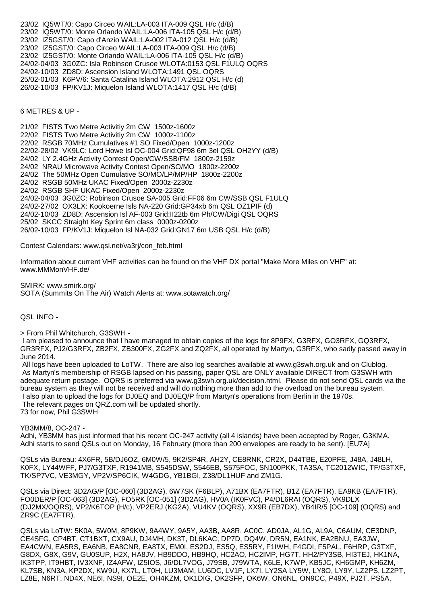23/02 IQ5WT/0: Capo Circeo WAIL:LA-003 ITA-009 QSL H/c (d/B) 23/02 IQ5WT/0: Monte Orlando WAIL:LA-006 ITA-105 QSL H/c (d/B) 23/02 IZ5GST/0: Capo d'Anzio WAIL:LA-002 ITA-012 QSL H/c (d/B) 23/02 IZ5GST/0: Capo Circeo WAIL:LA-003 ITA-009 QSL H/c (d/B) 23/02 IZ5GST/0: Monte Orlando WAIL:LA-006 ITA-105 QSL H/c (d/B) 24/02-04/03 3G0ZC: Isla Robinson Crusoe WLOTA:0153 QSL F1ULQ OQRS 24/02-10/03 ZD8D: Ascension Island WLOTA:1491 QSL OQRS 25/02-01/03 K6PV/6: Santa Catalina Island WLOTA:2912 QSL H/c (d) 26/02-10/03 FP/KV1J: Miquelon Island WLOTA:1417 QSL H/c (d/B)

6 METRES & UP -

21/02 FISTS Two Metre Activitiy 2m CW 1500z-1600z 22/02 FISTS Two Metre Activitiy 2m CW 1000z-1100z 22/02 RSGB 70MHz Cumulatives #1 SO Fixed/Open 1000z-1200z 22/02-28/02 VK9LC: Lord Howe Isl OC-004 Grid:QF98 6m 3el QSL OH2YY (d/B) 24/02 LY 2.4GHz Activity Contest Open/CW/SSB/FM 1800z-2159z 24/02 NRAU Microwave Activity Contest Open/SO/MO 1800z-2200z 24/02 The 50MHz Open Cumulative SO/MO/LP/MP/HP 1800z-2200z 24/02 RSGB 50MHz UKAC Fixed/Open 2000z-2230z 24/02 RSGB SHF UKAC Fixed/Open 2000z-2230z 24/02-04/03 3G0ZC: Robinson Crusoe SA-005 Grid:FF06 6m CW/SSB QSL F1ULQ 24/02-27/02 OX3LX: Kookoerne Isls NA-220 Grid:GP34xb 6m QSL OZ1PIF (d) 24/02-10/03 ZD8D: Ascension Isl AF-003 Grid:II22tb 6m Ph/CW/Digi QSL OQRS 25/02 SKCC Straight Key Sprint 6m class 0000z-0200z 26/02-10/03 FP/KV1J: Miquelon Isl NA-032 Grid:GN17 6m USB QSL H/c (d/B)

Contest Calendars: www.qsl.net/va3rj/con\_feb.html

Information about current VHF activities can be found on the VHF DX portal "Make More Miles on VHF" at: www.MMMonVHF.de/

SMIRK: www.smirk.org/ SOTA (Summits On The Air) Watch Alerts at: www.sotawatch.org/

QSL INFO -

> From Phil Whitchurch, G3SWH -

 I am pleased to announce that I have managed to obtain copies of the logs for 8P9FX, G3RFX, GO3RFX, GQ3RFX, GR3RFX, PJ2/G3RFX, ZB2FX, ZB300FX, ZG2FX and ZQ2FX, all operated by Martyn, G3RFX, who sadly passed away in June 2014.

 All logs have been uploaded to LoTW. There are also log searches available at www.g3swh.org.uk and on Clublog. As Martyn's membership of RSGB lapsed on his passing, paper QSL are ONLY available DIRECT from G3SWH with adequate return postage. OQRS is preferred via www.g3swh.org.uk/decision.html. Please do not send QSL cards via the bureau system as they will not be received and will do nothing more than add to the overload on the bureau system. I also plan to upload the logs for DJ0EQ and DJ0EQ/P from Martyn's operations from Berlin in the 1970s. The relevant pages on QRZ.com will be updated shortly. 73 for now, Phil G3SWH

YB3MM/8, OC-247 -

Adhi, YB3MM has just informed that his recent OC-247 activity (all 4 islands) have been accepted by Roger, G3KMA. Adhi starts to send QSLs out on Monday, 16 February (more than 200 envelopes are ready to be sent). [EU7A]

QSLs via Bureau: 4X6FR, 5B/DJ6OZ, 6M0W/5, 9K2/SP4R, AH2Y, CE8RNK, CR2X, D44TBE, E20PFE, J48A, J48LH, K0FX, LY44WFF, PJ7/G3TXF, R1941MB, S545DSW, S546EB, S575FOC, SN100PKK, TA3SA, TC2012WIC, TF/G3TXF, TK/SP7VC, VE3MGY, VP2V/SP6CIK, W4GDG, YB1BGI, Z38/DL1HUF and ZM1G.

QSLs via Direct: 3D2AG/P [OC-060] (3D2AG), 6W7SK (F6BLP), A71BX (EA7FTR), B1Z (EA7FTR), EA9KB (EA7FTR), FO0DER/P [OC-063] (3D2AG), FO5RK [OC-051] (3D2AG), HV0A (IK0FVC), P4/DL6RAI (OQRS), VK9DLX (DJ2MX/OQRS), VP2/K6TOP (H/c), VP2ERJ (KG2A), VU4KV (OQRS), XX9R (EB7DX), YB4IR/5 [OC-109] (OQRS) and ZR9C (EA7FTR).

QSLs via LoTW: 5K0A, 5W0M, 8P9KW, 9A4WY, 9A5Y, AA3B, AA8R, AC0C, AD0JA, AL1G, AL9A, C6AUM, CE3DNP, CE4SFG, CP4BT, CT1BXT, CX9AU, DJ4MH, DK3T, DL6KAC, DP7D, DQ4W, DR5N, EA1NK, EA2BNU, EA3JW, EA4CWN, EA5RS, EA6NB, EA8CNR, EA8TX, EM0I, ES2DJ, ES5Q, ES5RY, F1IWH, F4GDI, F5PAL, F6HRP, G3TXF, G8DX, G8X, G9V, GU0SUP, H2X, HA8JV, HB9DDO, HB9HQ, HC2AO, HC2IMP, HG7T, HH2/PY3SB, HI3TEJ, HK1NA, IK3TPP, IT9HBT, IV3XNF, IZ4AFW, IZ5IOS, J6/DL7VOG, J79SB, J79WTA, K6LE, K7WP, KB5JC, KH6GMP, KH6ZM, KL7SB, KN3A, KP2DX, KW9U, KX7L, LT0H, LU3MAM, LU6DC, LV1F, LX7I, LY2SA LY5W, LY8O, LY9Y, LZ2PS, LZ2PT, LZ8E, N6RT, ND4X, NE6I, NS9I, OE2E, OH4KZM, OK1DIG, OK2SFP, OK6W, ON6NL, ON9CC, P49X, PJ2T, PS5A,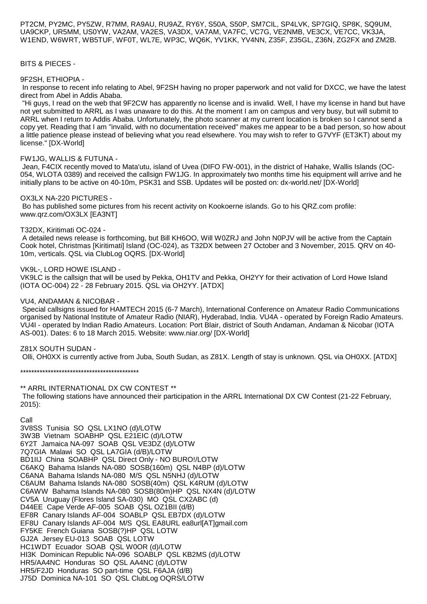PT2CM, PY2MC, PY5ZW, R7MM, RA9AU, RU9AZ, RY6Y, S50A, S50P, SM7CIL, SP4LVK, SP7GIQ, SP8K, SQ9UM, UA9CKP, UR5MM, US0YW, VA2AM, VA2ES, VA3DX, VA7AM, VA7FC, VC7G, VE2NMB, VE3CX, VE7CC, VK3JA, W1END, W6WRT, WB5TUF, WF0T, WL7E, WP3C, WQ6K, YV1KK, YV4NN, Z35F, Z35GL, Z36N, ZG2FX and ZM2B.

### BITS & PIECES -

### 9F2SH, ETHIOPIA -

 In response to recent info relating to Abel, 9F2SH having no proper paperwork and not valid for DXCC, we have the latest direct from Abel in Addis Ababa.

 "Hi guys, I read on the web that 9F2CW has apparently no license and is invalid. Well, I have my license in hand but have not yet submitted to ARRL as I was unaware to do this. At the moment I am on campus and very busy, but will submit to ARRL when I return to Addis Ababa. Unfortunately, the photo scanner at my current location is broken so I cannot send a copy yet. Reading that I am "invalid, with no documentation received" makes me appear to be a bad person, so how about a little patience please instead of believing what you read elsewhere. You may wish to refer to G7VYF (ET3KT) about my license." [DX-World]

### FW1JG, WALLIS & FUTUNA -

 Jean, F4CIX recently moved to Mata'utu, island of Uvea (DIFO FW-001), in the district of Hahake, Wallis Islands (OC-054, WLOTA 0389) and received the callsign FW1JG. In approximately two months time his equipment will arrive and he initially plans to be active on 40-10m, PSK31 and SSB. Updates will be posted on: dx-world.net/ [DX-World]

#### OX3LX NA-220 PICTURES -

 Bo has published some pictures from his recent activity on Kookoerne islands. Go to his QRZ.com profile: www.qrz.com/OX3LX [EA3NT]

### T32DX, Kiritimati OC-024 -

 A detailed news release is forthcoming, but Bill KH6OO, Will W0ZRJ and John N0PJV will be active from the Captain Cook hotel, Christmas [Kiritimati] Island (OC-024), as T32DX between 27 October and 3 November, 2015. QRV on 40- 10m, verticals. QSL via ClubLog OQRS. [DX-World]

### VK9L-, LORD HOWE ISLAND -

VK9LC is the callsign that will be used by Pekka, OH1TV and Pekka, OH2YY for their activation of Lord Howe Island (IOTA OC-004) 22 - 28 February 2015. QSL via OH2YY. [ATDX]

#### VU4, ANDAMAN & NICOBAR -

 Special callsigns issued for HAMTECH 2015 (6-7 March), International Conference on Amateur Radio Communications organised by National Institute of Amateur Radio (NIAR), Hyderabad, India. VU4A - operated by Foreign Radio Amateurs. VU4I - operated by Indian Radio Amateurs. Location: Port Blair, district of South Andaman, Andaman & Nicobar (IOTA AS-001). Dates: 6 to 18 March 2015. Website: www.niar.org/ [DX-World]

### Z81X SOUTH SUDAN -

Olli, OH0XX is currently active from Juba, South Sudan, as Z81X. Length of stay is unknown. QSL via OH0XX. [ATDX]

\*\*\*\*\*\*\*\*\*\*\*\*\*\*\*\*\*\*\*\*\*\*\*\*\*\*\*\*\*\*\*\*\*\*\*\*\*\*\*\*\*\*\*

\*\* ARRL INTERNATIONAL DX CW CONTEST \*\* The following stations have announced their participation in the ARRL International DX CW Contest (21-22 February, 2015):

# Call

3V8SS Tunisia SO QSL LX1NO (d)/LOTW 3W3B Vietnam SOABHP QSL E21EIC (d)/LOTW 6Y2T Jamaica NA-097 SOAB QSL VE3DZ (d)/LOTW 7Q7GIA Malawi SO QSL LA7GIA (d/B)/LOTW BD1IIJ China SOABHP QSL Direct Only - NO BURO!/LOTW C6AKQ Bahama Islands NA-080 SOSB(160m) QSL N4BP (d)/LOTW C6ANA Bahama Islands NA-080 M/S QSL N5NHJ (d)/LOTW C6AUM Bahama Islands NA-080 SOSB(40m) QSL K4RUM (d)/LOTW C6AWW Bahama Islands NA-080 SOSB(80m)HP QSL NX4N (d)/LOTW CV5A Uruguay (Flores Island SA-030) MO QSL CX2ABC (d) D44EE Cape Verde AF-005 SOAB QSL OZ1BII (d/B) EF8R Canary Islands AF-004 SOABLP QSL EB7DX (d)/LOTW EF8U Canary Islands AF-004 M/S QSL EA8URL ea8url[AT]gmail.com FY5KE French Guiana SOSB(?)HP QSL LOTW GJ2A Jersey EU-013 SOAB QSL LOTW HC1WDT Ecuador SOAB QSL W0OR (d)/LOTW HI3K Dominican Republic NA-096 SOABLP QSL KB2MS (d)/LOTW HR5/AA4NC Honduras SO QSL AA4NC (d)/LOTW HR5/F2JD Honduras SO part-time QSL F6AJA (d/B) J75D Dominica NA-101 SO QSL ClubLog OQRS/LOTW